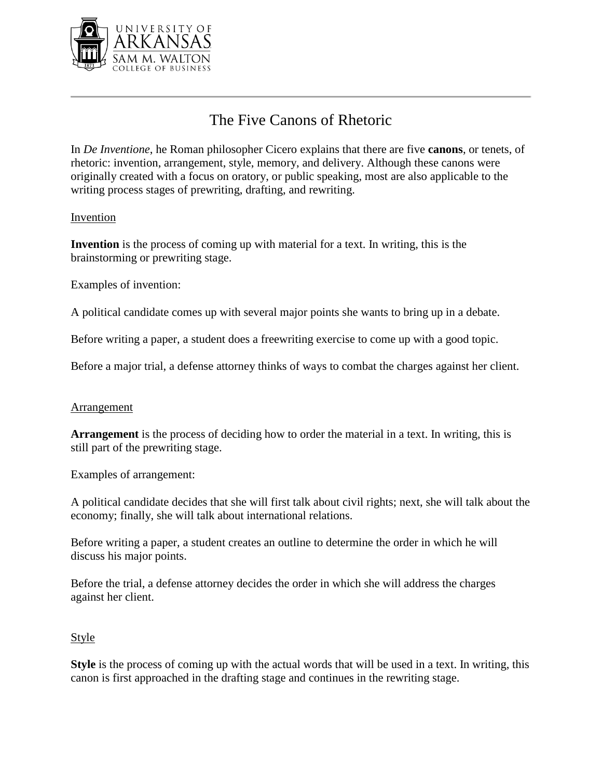

# The Five Canons of Rhetoric

In *De Inventione*, he Roman philosopher Cicero explains that there are five **canons**, or tenets, of rhetoric: invention, arrangement, style, memory, and delivery. Although these canons were originally created with a focus on oratory, or public speaking, most are also applicable to the writing process stages of prewriting, drafting, and rewriting.

## Invention

**Invention** is the process of coming up with material for a text. In writing, this is the brainstorming or prewriting stage.

Examples of invention:

A political candidate comes up with several major points she wants to bring up in a debate.

Before writing a paper, a student does a freewriting exercise to come up with a good topic.

Before a major trial, a defense attorney thinks of ways to combat the charges against her client.

### **Arrangement**

**Arrangement** is the process of deciding how to order the material in a text. In writing, this is still part of the prewriting stage.

Examples of arrangement:

A political candidate decides that she will first talk about civil rights; next, she will talk about the economy; finally, she will talk about international relations.

Before writing a paper, a student creates an outline to determine the order in which he will discuss his major points.

Before the trial, a defense attorney decides the order in which she will address the charges against her client.

### **Style**

**Style** is the process of coming up with the actual words that will be used in a text. In writing, this canon is first approached in the drafting stage and continues in the rewriting stage.